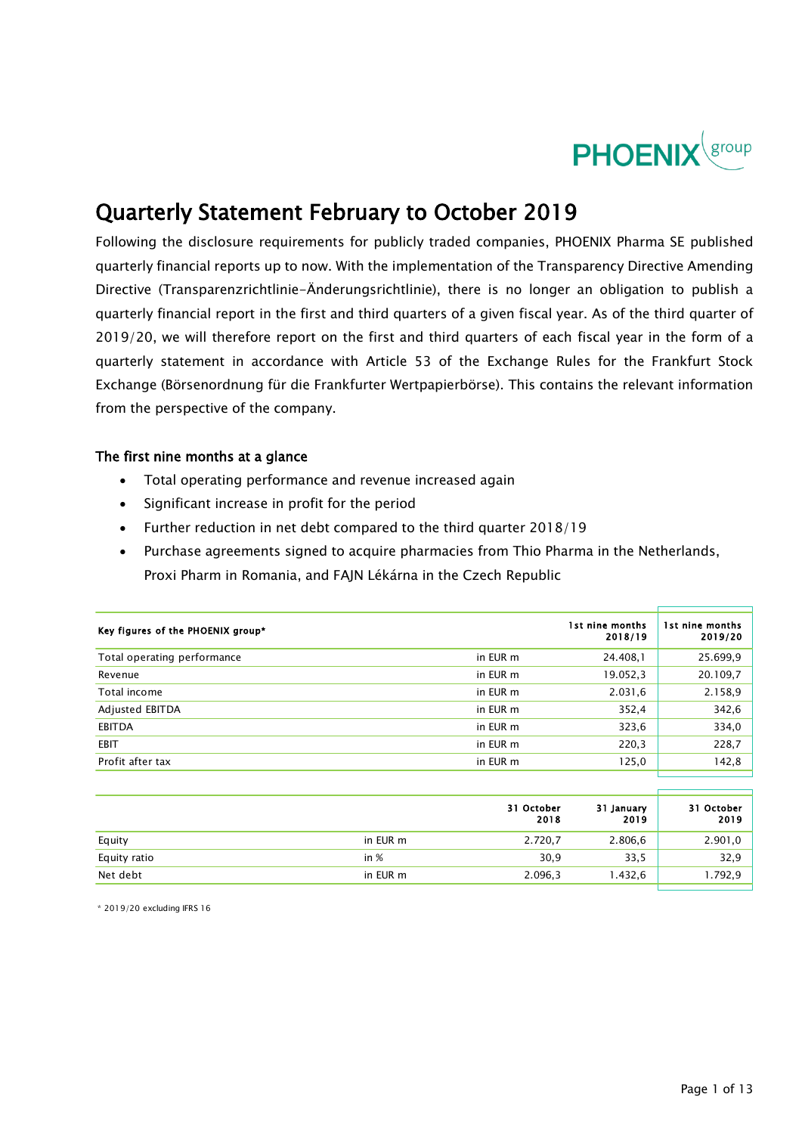

## Quarterly Statement February to October 2019

Following the disclosure requirements for publicly traded companies, PHOENIX Pharma SE published quarterly financial reports up to now. With the implementation of the Transparency Directive Amending Directive (Transparenzrichtlinie-Änderungsrichtlinie), there is no longer an obligation to publish a quarterly financial report in the first and third quarters of a given fiscal year. As of the third quarter of 2019/20, we will therefore report on the first and third quarters of each fiscal year in the form of a quarterly statement in accordance with Article 53 of the Exchange Rules for the Frankfurt Stock Exchange (Börsenordnung für die Frankfurter Wertpapierbörse). This contains the relevant information from the perspective of the company.

### The first nine months at a glance

- Total operating performance and revenue increased again
- Significant increase in profit for the period
- Further reduction in net debt compared to the third quarter 2018/19
- Purchase agreements signed to acquire pharmacies from Thio Pharma in the Netherlands, Proxi Pharm in Romania, and FAJN Lékárna in the Czech Republic

| Key figures of the PHOENIX group* |          | 1st nine months<br>2018/19 | 1st nine months<br>2019/20 |
|-----------------------------------|----------|----------------------------|----------------------------|
| Total operating performance       | in EUR m | 24.408,1                   | 25.699,9                   |
| Revenue                           | in EUR m | 19.052,3                   | 20.109,7                   |
| Total income                      | in EUR m | 2.031,6                    | 2.158,9                    |
| Adjusted EBITDA                   | in EUR m | 352,4                      | 342,6                      |
| <b>EBITDA</b>                     | in EUR m | 323,6                      | 334,0                      |
| <b>EBIT</b>                       | in EUR m | 220,3                      | 228,7                      |
| Profit after tax                  | in EUR m | 125,0                      | 142,8                      |
|                                   |          |                            |                            |

|              |          | 31 October<br>2018 | 31 January<br>2019 | 31 October<br>2019 |
|--------------|----------|--------------------|--------------------|--------------------|
| Equity       | in EUR m | 2.720,7            | 2.806,6            | 2.901,0            |
| Equity ratio | in $%$   | 30,9               | 33,5               | 32,9               |
| Net debt     | in EUR m | 2.096,3            | 1.432,6            | 1.792,9            |

\* 2019/20 excluding IFRS 16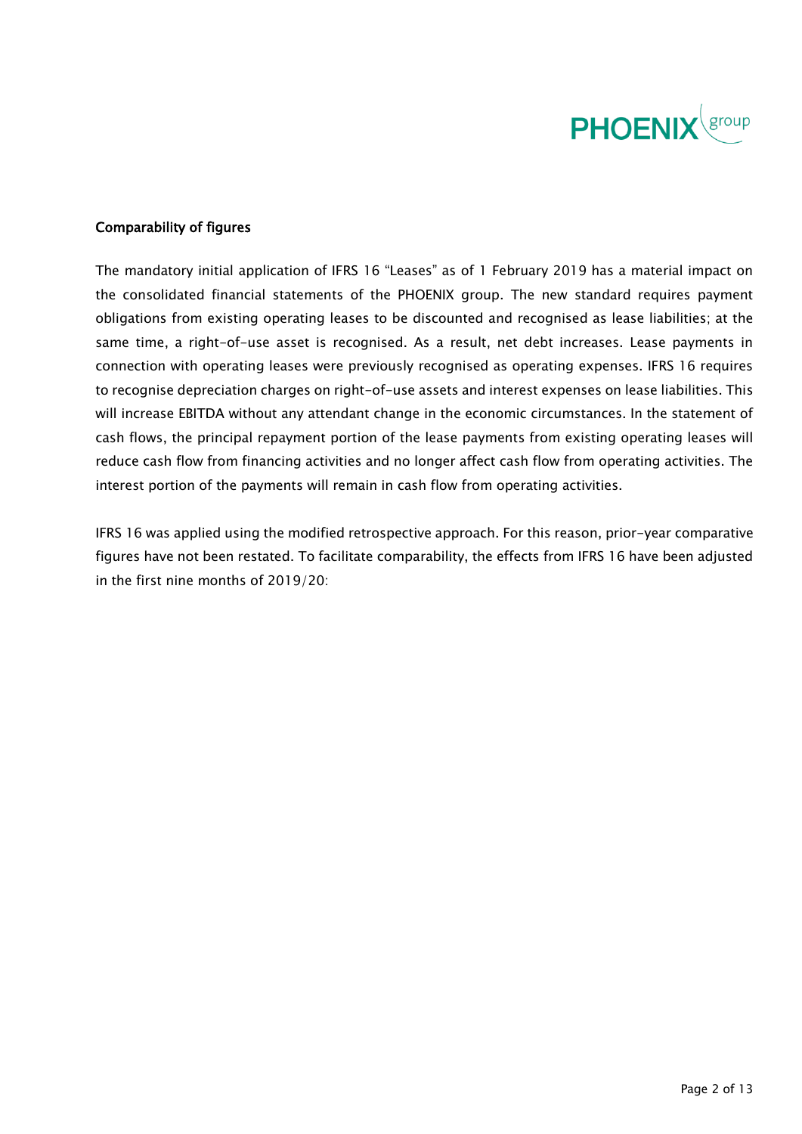

### Comparability of figures

The mandatory initial application of IFRS 16 "Leases" as of 1 February 2019 has a material impact on the consolidated financial statements of the PHOENIX group. The new standard requires payment obligations from existing operating leases to be discounted and recognised as lease liabilities; at the same time, a right-of-use asset is recognised. As a result, net debt increases. Lease payments in connection with operating leases were previously recognised as operating expenses. IFRS 16 requires to recognise depreciation charges on right-of-use assets and interest expenses on lease liabilities. This will increase EBITDA without any attendant change in the economic circumstances. In the statement of cash flows, the principal repayment portion of the lease payments from existing operating leases will reduce cash flow from financing activities and no longer affect cash flow from operating activities. The interest portion of the payments will remain in cash flow from operating activities.

IFRS 16 was applied using the modified retrospective approach. For this reason, prior-year comparative figures have not been restated. To facilitate comparability, the effects from IFRS 16 have been adjusted in the first nine months of 2019/20: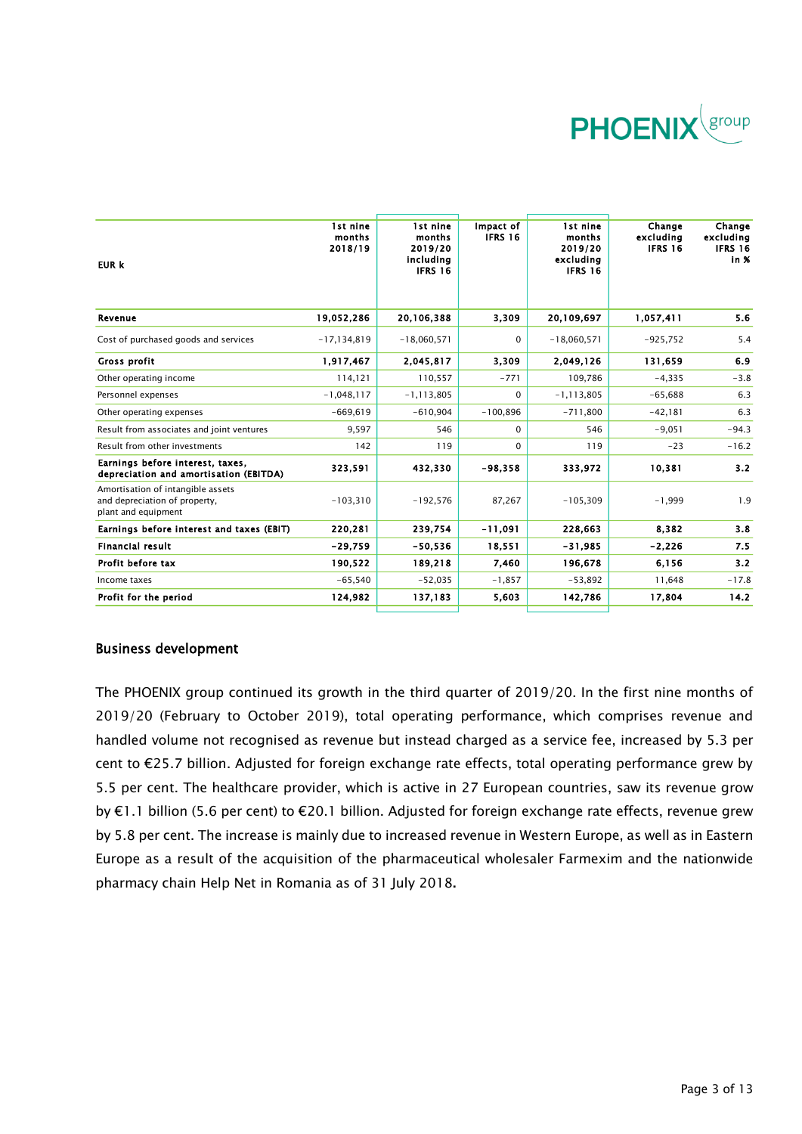

| <b>EUR k</b>                                                                              | 1st nine<br>months<br>2018/19 | 1st nine<br>months<br>2019/20<br>including<br><b>IFRS 16</b> | Impact of<br>IFRS 16 | 1st nine<br>months<br>2019/20<br>excludina<br><b>IFRS 16</b> | Change<br>excluding<br><b>IFRS 16</b> | Change<br>excluding<br><b>IFRS 16</b><br>in % |
|-------------------------------------------------------------------------------------------|-------------------------------|--------------------------------------------------------------|----------------------|--------------------------------------------------------------|---------------------------------------|-----------------------------------------------|
| Revenue                                                                                   | 19,052,286                    | 20,106,388                                                   | 3,309                | 20,109,697                                                   | 1,057,411                             | 5.6                                           |
| Cost of purchased goods and services                                                      | $-17,134,819$                 | $-18,060,571$                                                | 0                    | $-18,060,571$                                                | $-925,752$                            | 5.4                                           |
| Gross profit                                                                              | 1,917,467                     | 2,045,817                                                    | 3,309                | 2,049,126                                                    | 131,659                               | 6.9                                           |
| Other operating income                                                                    | 114,121                       | 110,557                                                      | $-771$               | 109,786                                                      | $-4,335$                              | $-3.8$                                        |
| Personnel expenses                                                                        | $-1,048,117$                  | $-1, 113, 805$                                               | 0                    | $-1, 113, 805$                                               | $-65,688$                             | 6.3                                           |
| Other operating expenses                                                                  | $-669.619$                    | $-610,904$                                                   | $-100,896$           | $-711,800$                                                   | $-42,181$                             | 6.3                                           |
| Result from associates and joint ventures                                                 | 9,597                         | 546                                                          | $\mathbf 0$          | 546                                                          | $-9,051$                              | $-94.3$                                       |
| Result from other investments                                                             | 142                           | 119                                                          | 0                    | 119                                                          | $-23$                                 | $-16.2$                                       |
| Earnings before interest, taxes,<br>depreciation and amortisation (EBITDA)                | 323,591                       | 432,330                                                      | $-98,358$            | 333,972                                                      | 10,381                                | 3.2                                           |
| Amortisation of intangible assets<br>and depreciation of property,<br>plant and equipment | $-103,310$                    | $-192,576$                                                   | 87,267               | $-105,309$                                                   | $-1,999$                              | 1.9                                           |
| Earnings before interest and taxes (EBIT)                                                 | 220,281                       | 239,754                                                      | $-11,091$            | 228,663                                                      | 8,382                                 | 3.8                                           |
| <b>Financial result</b>                                                                   | $-29,759$                     | $-50,536$                                                    | 18,551               | $-31,985$                                                    | $-2,226$                              | 7.5                                           |
| Profit before tax                                                                         | 190,522                       | 189,218                                                      | 7,460                | 196,678                                                      | 6,156                                 | 3.2                                           |
| Income taxes                                                                              | $-65,540$                     | $-52,035$                                                    | $-1,857$             | $-53,892$                                                    | 11,648                                | $-17.8$                                       |
| Profit for the period                                                                     | 124,982                       | 137,183                                                      | 5,603                | 142,786                                                      | 17,804                                | 14.2                                          |

### Business development

The PHOENIX group continued its growth in the third quarter of 2019/20. In the first nine months of 2019/20 (February to October 2019), total operating performance, which comprises revenue and handled volume not recognised as revenue but instead charged as a service fee, increased by 5.3 per cent to €25.7 billion. Adjusted for foreign exchange rate effects, total operating performance grew by 5.5 per cent. The healthcare provider, which is active in 27 European countries, saw its revenue grow by €1.1 billion (5.6 per cent) to €20.1 billion. Adjusted for foreign exchange rate effects, revenue grew by 5.8 per cent. The increase is mainly due to increased revenue in Western Europe, as well as in Eastern Europe as a result of the acquisition of the pharmaceutical wholesaler Farmexim and the nationwide pharmacy chain Help Net in Romania as of 31 July 2018**.**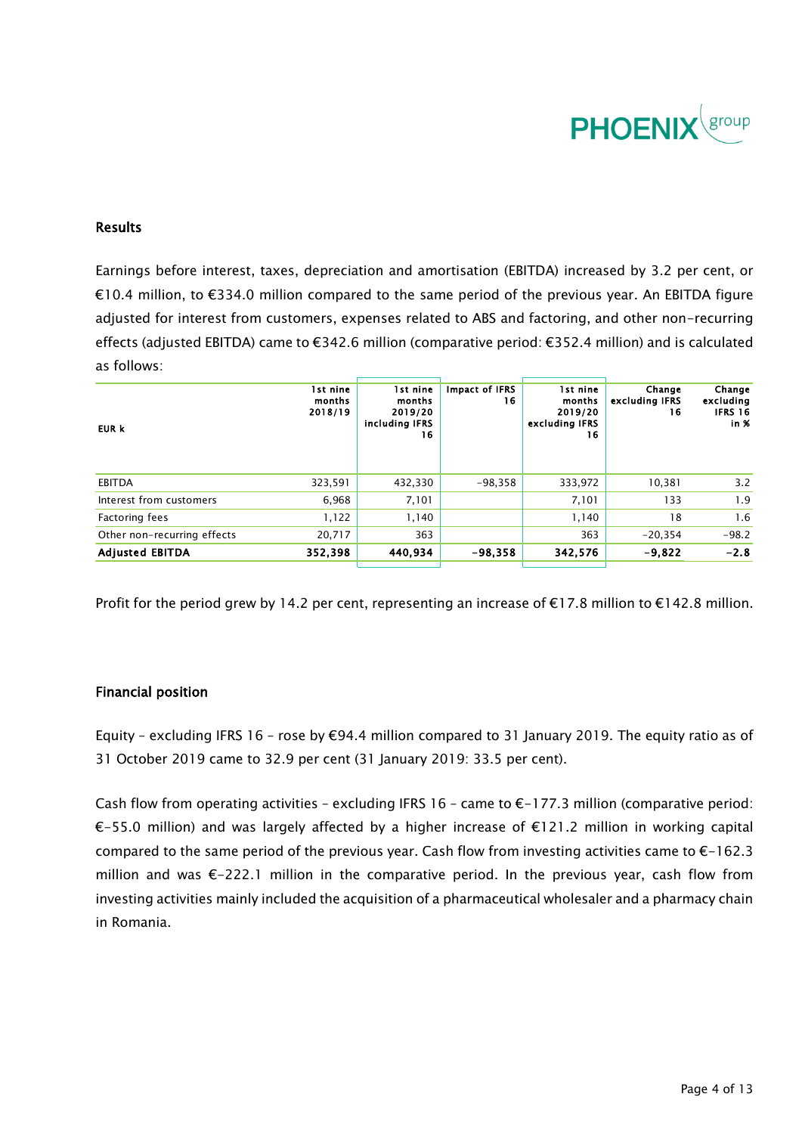

### Results

Earnings before interest, taxes, depreciation and amortisation (EBITDA) increased by 3.2 per cent, or €10.4 million, to €334.0 million compared to the same period of the previous year. An EBITDA figure adjusted for interest from customers, expenses related to ABS and factoring, and other non-recurring effects (adjusted EBITDA) came to €342.6 million (comparative period: €352.4 million) and is calculated as follows:

| EUR k                       | 1st nine<br>months<br>2018/19 | 1st nine<br>months<br>2019/20<br>including IFRS<br>16 | Impact of IFRS<br>16 | 1st nine<br>months<br>2019/20<br>excluding IFRS<br>16 | Change<br>excluding IFRS<br>16 | Change<br>excluding<br><b>IFRS 16</b><br>in % |
|-----------------------------|-------------------------------|-------------------------------------------------------|----------------------|-------------------------------------------------------|--------------------------------|-----------------------------------------------|
| EBITDA                      | 323,591                       | 432,330                                               | $-98,358$            | 333,972                                               | 10,381                         | 3.2                                           |
| Interest from customers     | 6.968                         | 7,101                                                 |                      | 7,101                                                 | 133                            | 1.9                                           |
| <b>Factoring fees</b>       | 1,122                         | 1,140                                                 |                      | 1,140                                                 | 18                             | 1.6                                           |
| Other non-recurring effects | 20,717                        | 363                                                   |                      | 363                                                   | $-20,354$                      | $-98.2$                                       |
| <b>Adjusted EBITDA</b>      | 352,398                       | 440,934                                               | $-98,358$            | 342,576                                               | $-9,822$                       | $-2.8$                                        |

Profit for the period grew by 14.2 per cent, representing an increase of €17.8 million to €142.8 million.

### Financial position

Equity – excluding IFRS 16 – rose by €94.4 million compared to 31 January 2019. The equity ratio as of 31 October 2019 came to 32.9 per cent (31 January 2019: 33.5 per cent).

Cash flow from operating activities – excluding IFRS 16 – came to  $\epsilon$ –177.3 million (comparative period: €-55.0 million) and was largely affected by a higher increase of €121.2 million in working capital compared to the same period of the previous year. Cash flow from investing activities came to €-162.3 million and was €-222.1 million in the comparative period. In the previous year, cash flow from investing activities mainly included the acquisition of a pharmaceutical wholesaler and a pharmacy chain in Romania.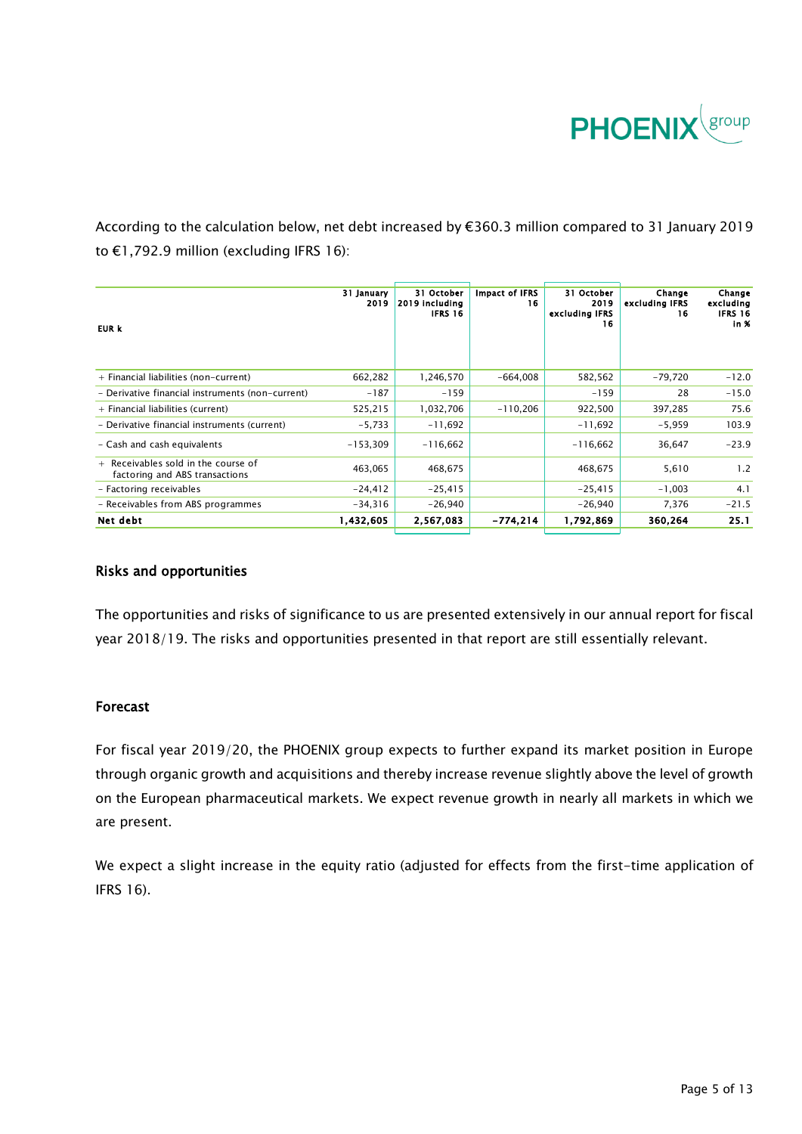

According to the calculation below, net debt increased by €360.3 million compared to 31 January 2019 to €1,792.9 million (excluding IFRS 16):

| EUR k                                                                   | 31 January<br>2019 | 31 October<br>2019 including<br>IFRS 16 | Impact of IFRS<br>16 | 31 October<br>2019<br>excluding IFRS<br>16 | Change<br>excluding IFRS<br>16 | Change<br>excluding<br><b>IFRS 16</b><br>in % |
|-------------------------------------------------------------------------|--------------------|-----------------------------------------|----------------------|--------------------------------------------|--------------------------------|-----------------------------------------------|
| + Financial liabilities (non-current)                                   | 662,282            | 1,246,570                               | $-664.008$           | 582,562                                    | -79,720                        | $-12.0$                                       |
| - Derivative financial instruments (non-current)                        | $-187$             | $-159$                                  |                      | $-159$                                     | 28                             | $-15.0$                                       |
| + Financial liabilities (current)                                       | 525,215            | 1,032,706                               | $-110,206$           | 922,500                                    | 397,285                        | 75.6                                          |
| - Derivative financial instruments (current)                            | $-5,733$           | $-11,692$                               |                      | $-11,692$                                  | $-5,959$                       | 103.9                                         |
| - Cash and cash equivalents                                             | $-153.309$         | $-116.662$                              |                      | $-116.662$                                 | 36,647                         | $-23.9$                                       |
| $+$ Receivables sold in the course of<br>factoring and ABS transactions | 463,065            | 468,675                                 |                      | 468,675                                    | 5,610                          | 1.2                                           |
| - Factoring receivables                                                 | $-24, 412$         | $-25,415$                               |                      | $-25,415$                                  | $-1,003$                       | 4.1                                           |
| - Receivables from ABS programmes                                       | $-34,316$          | $-26,940$                               |                      | $-26,940$                                  | 7,376                          | $-21.5$                                       |
| Net debt                                                                | 1,432,605          | 2,567,083                               | -774,214             | 1,792,869                                  | 360.264                        | 25.1                                          |

### Risks and opportunities

The opportunities and risks of significance to us are presented extensively in our annual report for fiscal year 2018/19. The risks and opportunities presented in that report are still essentially relevant.

### Forecast

For fiscal year 2019/20, the PHOENIX group expects to further expand its market position in Europe through organic growth and acquisitions and thereby increase revenue slightly above the level of growth on the European pharmaceutical markets. We expect revenue growth in nearly all markets in which we are present.

We expect a slight increase in the equity ratio (adjusted for effects from the first-time application of IFRS 16).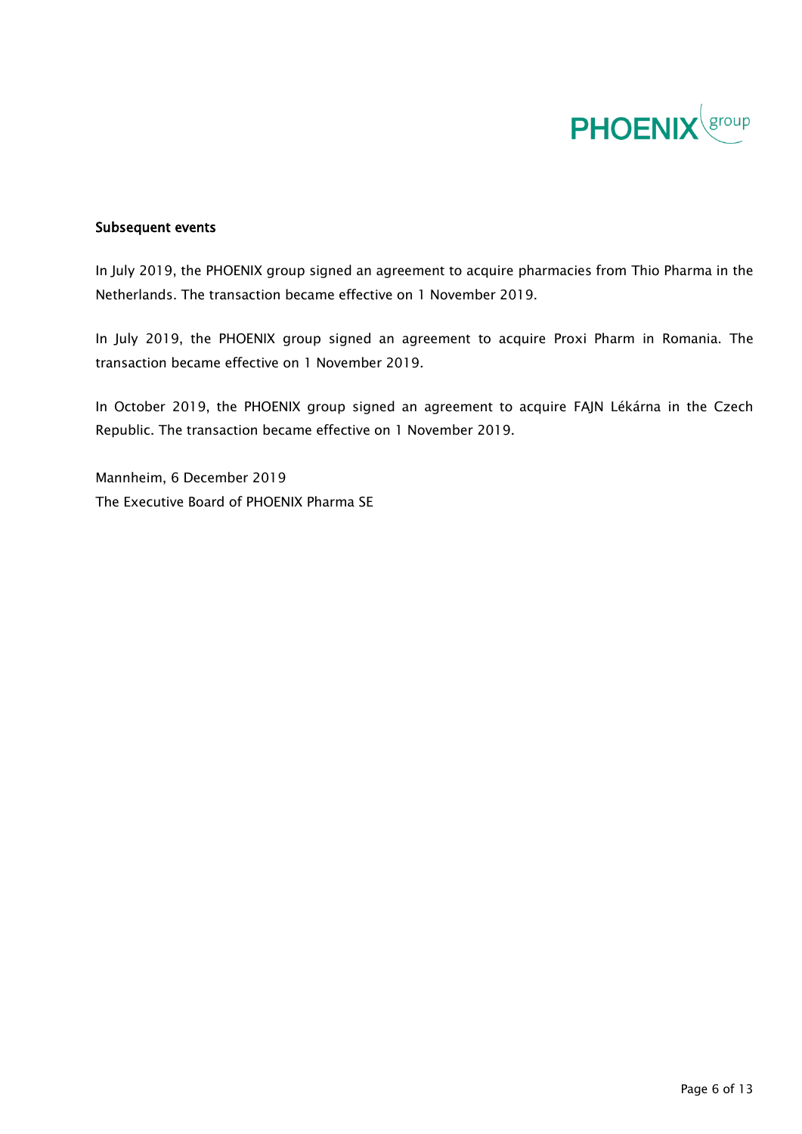

### Subsequent events

In July 2019, the PHOENIX group signed an agreement to acquire pharmacies from Thio Pharma in the Netherlands. The transaction became effective on 1 November 2019.

In July 2019, the PHOENIX group signed an agreement to acquire Proxi Pharm in Romania. The transaction became effective on 1 November 2019.

In October 2019, the PHOENIX group signed an agreement to acquire FAJN Lékárna in the Czech Republic. The transaction became effective on 1 November 2019.

Mannheim, 6 December 2019 The Executive Board of PHOENIX Pharma SE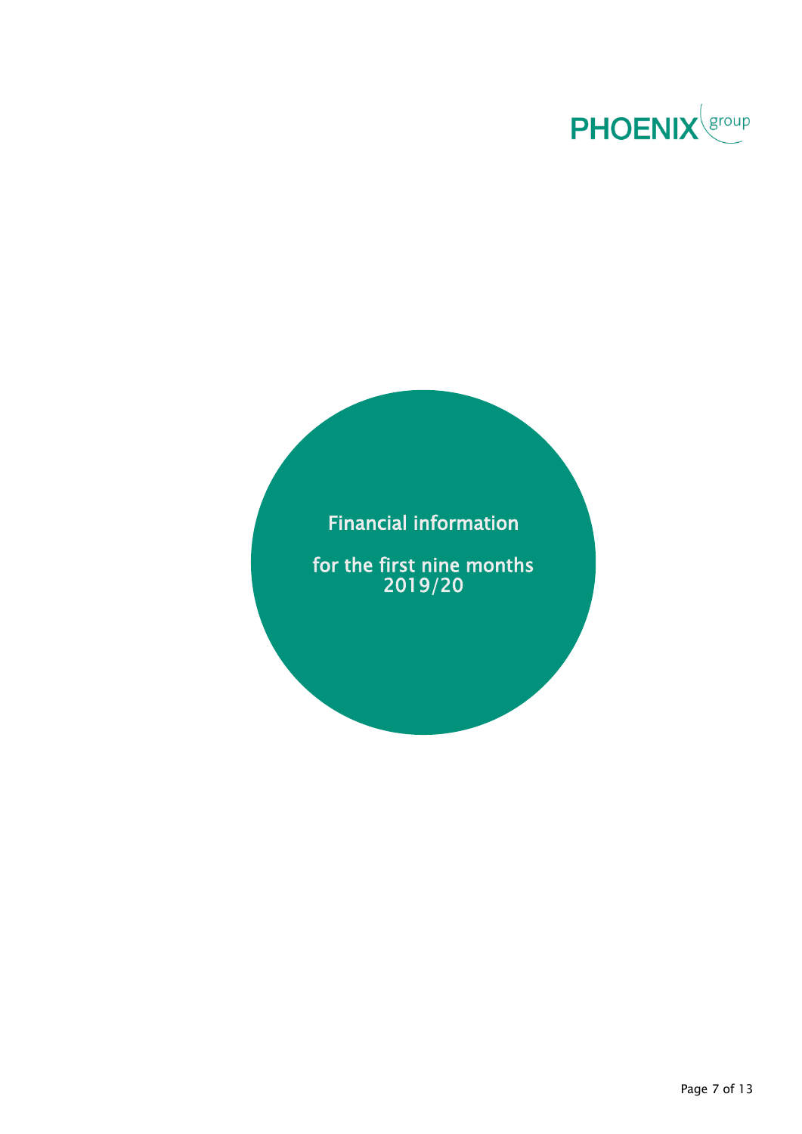

### Financial information

for the first nine months 2019/20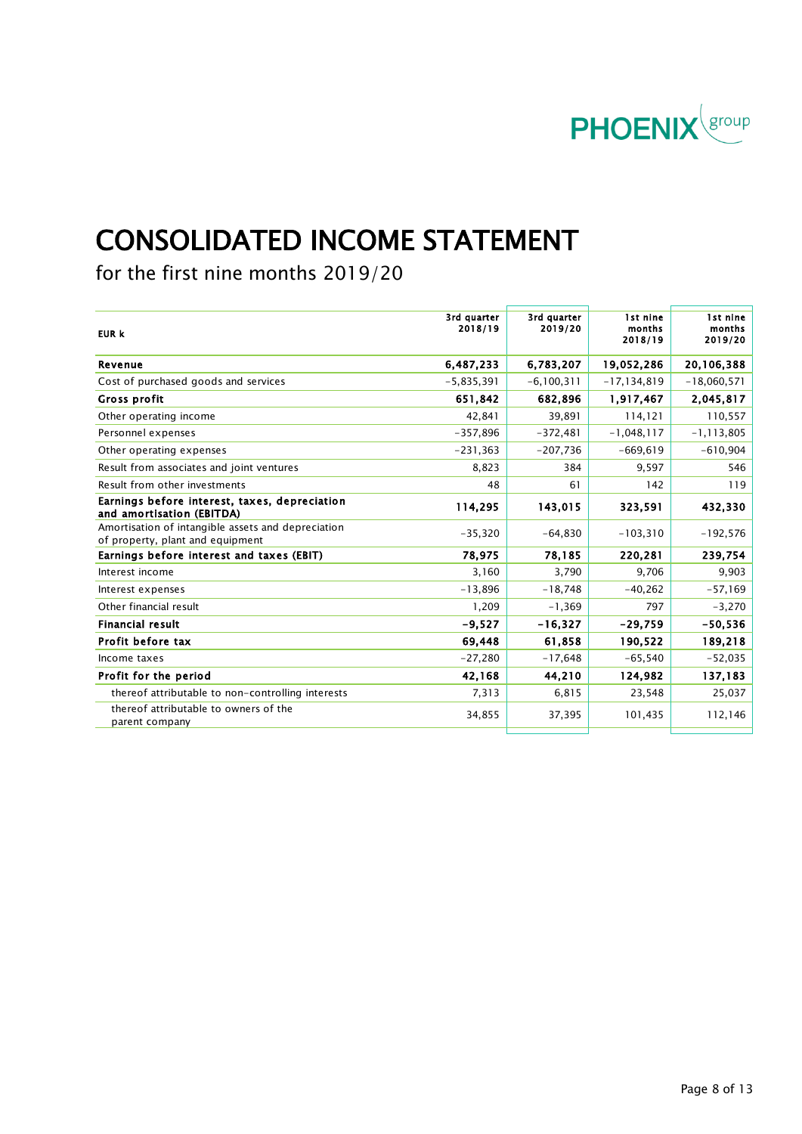

# CONSOLIDATED INCOME STATEMENT

for the first nine months 2019/20

| 3rd quarter<br>2018/19 | 3rd quarter<br>2019/20 | 1st nine<br>months<br>2018/19 | 1st nine<br>months<br>2019/20 |
|------------------------|------------------------|-------------------------------|-------------------------------|
| 6,487,233              | 6,783,207              | 19,052,286                    | 20,106,388                    |
| $-5,835,391$           | $-6, 100, 311$         | $-17, 134, 819$               | $-18,060,571$                 |
| 651,842                | 682,896                | 1,917,467                     | 2,045,817                     |
| 42,841                 | 39,891                 | 114,121                       | 110,557                       |
| $-357,896$             | $-372,481$             | $-1,048,117$                  | $-1, 113, 805$                |
| $-231,363$             | $-207,736$             | $-669,619$                    | $-610,904$                    |
| 8,823                  | 384                    | 9,597                         | 546                           |
| 48                     | 61                     | 142                           | 119                           |
| 114,295                | 143,015                | 323,591                       | 432,330                       |
| $-35,320$              | $-64,830$              | $-103,310$                    | $-192,576$                    |
| 78.975                 | 78,185                 | 220,281                       | 239,754                       |
| 3,160                  | 3,790                  | 9,706                         | 9,903                         |
| $-13,896$              | $-18,748$              | $-40,262$                     | $-57,169$                     |
| 1,209                  | $-1,369$               | 797                           | $-3,270$                      |
| $-9.527$               | $-16,327$              | $-29,759$                     | $-50,536$                     |
| 69,448                 | 61,858                 | 190,522                       | 189,218                       |
| $-27,280$              | $-17,648$              | $-65,540$                     | $-52,035$                     |
| 42,168                 | 44,210                 | 124,982                       | 137,183                       |
| 7,313                  | 6,815                  | 23,548                        | 25,037                        |
| 34,855                 | 37,395                 | 101,435                       | 112,146                       |
|                        |                        |                               |                               |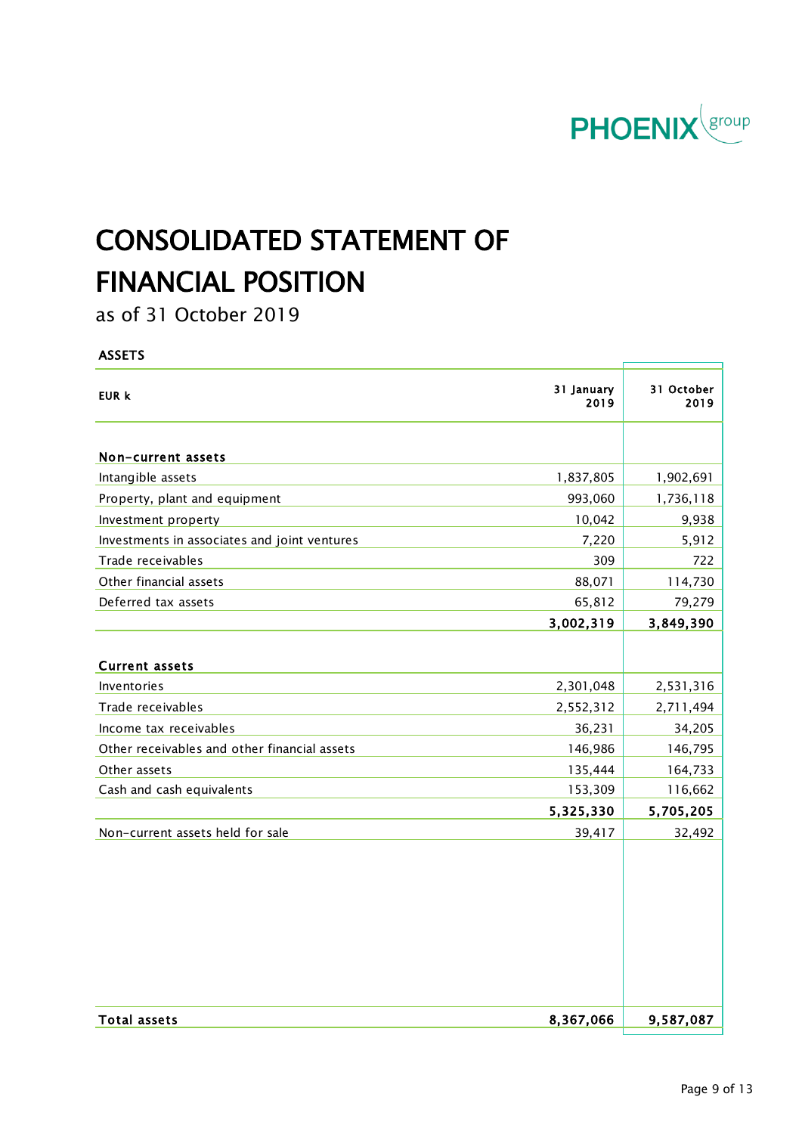

# CONSOLIDATED STATEMENT OF FINANCIAL POSITION

as of 31 October 2019

### ASSETS

| EUR k                                        | 31 January<br>2019 | 31 October<br>2019 |
|----------------------------------------------|--------------------|--------------------|
| Non-current assets                           |                    |                    |
| Intangible assets                            | 1,837,805          | 1,902,691          |
| Property, plant and equipment                | 993,060            | 1,736,118          |
| Investment property                          | 10,042             | 9,938              |
| Investments in associates and joint ventures | 7,220              | 5,912              |
| Trade receivables                            | 309                | 722                |
| Other financial assets                       | 88,071             | 114,730            |
| Deferred tax assets                          | 65,812             | 79,279             |
|                                              | 3,002,319          | 3,849,390          |
|                                              |                    |                    |
| <b>Current assets</b>                        |                    |                    |
| Inventories                                  | 2,301,048          | 2,531,316          |
| Trade receivables                            | 2,552,312          | 2,711,494          |
| Income tax receivables                       | 36,231             | 34,205             |
| Other receivables and other financial assets | 146,986            | 146,795            |
| Other assets                                 | 135,444            | 164,733            |
| Cash and cash equivalents                    | 153,309            | 116,662            |
|                                              | 5,325,330          | 5,705,205          |
| Non-current assets held for sale             | 39,417             | 32,492             |
|                                              |                    |                    |
| <b>Total assets</b>                          | 8,367,066          | 9,587,087          |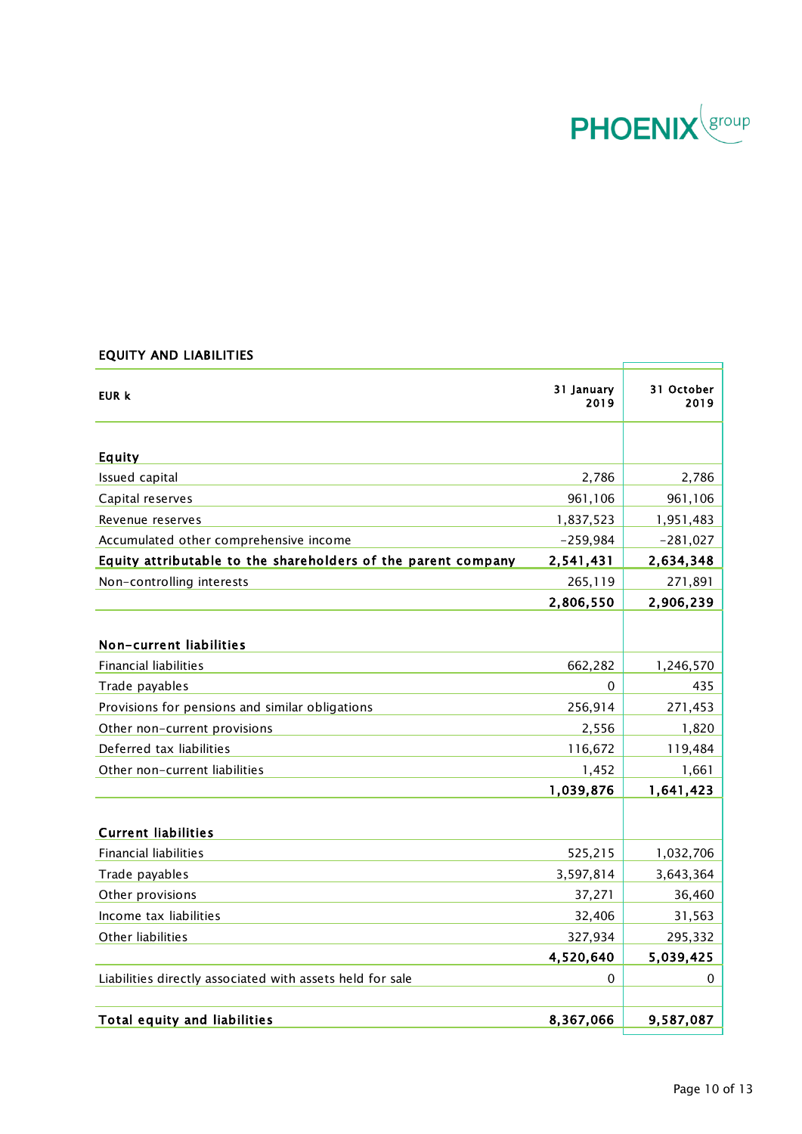

f

Ť

### EQUITY AND LIABILITIES

| EUR k                                                         | 31 January<br>2019 | 31 October<br>2019 |
|---------------------------------------------------------------|--------------------|--------------------|
| Equity                                                        |                    |                    |
| Issued capital                                                | 2,786              | 2,786              |
| Capital reserves                                              | 961,106            | 961,106            |
| Revenue reserves                                              | 1,837,523          | 1,951,483          |
| Accumulated other comprehensive income                        | $-259,984$         | $-281,027$         |
| Equity attributable to the shareholders of the parent company | 2,541,431          | 2,634,348          |
| Non-controlling interests                                     | 265,119            | 271,891            |
|                                                               | 2,806,550          | 2,906,239          |
| Non-current liabilities                                       |                    |                    |
| <b>Financial liabilities</b>                                  | 662,282            | 1,246,570          |
| Trade payables                                                | 0                  | 435                |
| Provisions for pensions and similar obligations               | 256,914            | 271,453            |
| Other non-current provisions                                  | 2,556              | 1,820              |
| Deferred tax liabilities                                      | 116,672            | 119,484            |
| Other non-current liabilities                                 | 1,452              | 1,661              |
|                                                               | 1,039,876          | 1,641,423          |
| <b>Current liabilities</b>                                    |                    |                    |
| <b>Financial liabilities</b>                                  | 525,215            | 1,032,706          |
| Trade payables                                                | 3,597,814          | 3,643,364          |
| Other provisions                                              | 37,271             | 36,460             |
| Income tax liabilities                                        | 32,406             | 31,563             |
| Other liabilities                                             | 327,934            | 295,332            |
|                                                               | 4,520,640          | 5,039,425          |
| Liabilities directly associated with assets held for sale     | 0                  | 0                  |
| Total equity and liabilities                                  | 8,367,066          | 9,587,087          |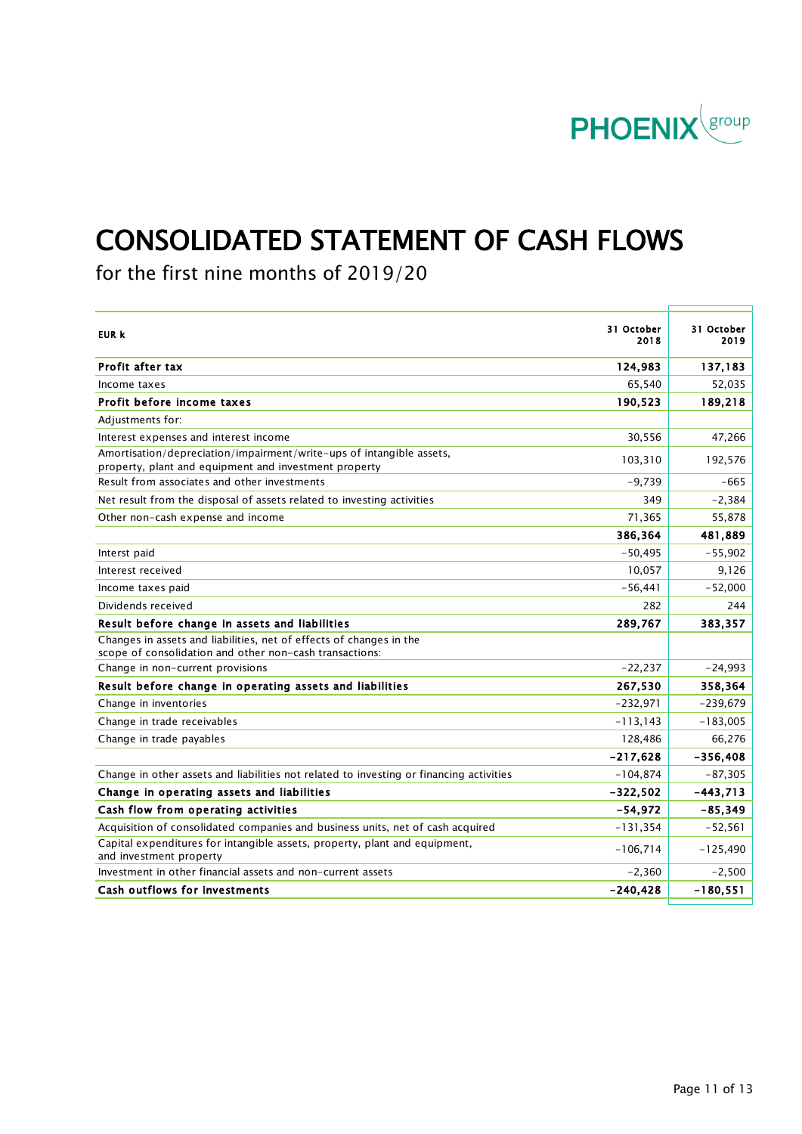

# CONSOLIDATED STATEMENT OF CASH FLOWS

for the first nine months of 2019/20

| 31 October<br>EUR k<br>2018                                                                                                              | 31 October<br>2019 |
|------------------------------------------------------------------------------------------------------------------------------------------|--------------------|
| Profit after tax<br>124,983                                                                                                              | 137,183            |
| 65,540<br>Income taxes                                                                                                                   | 52,035             |
| Profit before income taxes<br>190,523                                                                                                    | 189,218            |
| Adjustments for:                                                                                                                         |                    |
| Interest expenses and interest income<br>30,556                                                                                          | 47,266             |
| Amortisation/depreciation/impairment/write-ups of intangible assets,<br>103,310<br>property, plant and equipment and investment property | 192,576            |
| Result from associates and other investments<br>$-9.739$                                                                                 | $-665$             |
| Net result from the disposal of assets related to investing activities<br>349                                                            | $-2,384$           |
| 71,365<br>Other non-cash expense and income                                                                                              | 55,878             |
| 386,364                                                                                                                                  | 481,889            |
| $-50.495$<br>Interst paid                                                                                                                | $-55,902$          |
| 10,057<br>Interest received                                                                                                              | 9,126              |
| $-56,441$<br>Income taxes paid                                                                                                           | $-52,000$          |
| Dividends received<br>282                                                                                                                | 244                |
| Result before change in assets and liabilities<br>289,767                                                                                | 383,357            |
| Changes in assets and liabilities, net of effects of changes in the<br>scope of consolidation and other non-cash transactions:           |                    |
| $-22,237$<br>Change in non-current provisions                                                                                            | $-24,993$          |
| Result before change in operating assets and liabilities<br>267,530                                                                      | 358,364            |
| $-232,971$<br>Change in inventories                                                                                                      | $-239,679$         |
| Change in trade receivables<br>$-113,143$                                                                                                | $-183,005$         |
| 128,486<br>Change in trade payables                                                                                                      | 66,276             |
| $-217,628$                                                                                                                               | $-356,408$         |
| Change in other assets and liabilities not related to investing or financing activities<br>$-104,874$                                    | $-87,305$          |
| Change in operating assets and liabilities<br>$-322,502$                                                                                 | $-443,713$         |
| Cash flow from operating activities<br>$-54,972$                                                                                         | $-85,349$          |
| Acquisition of consolidated companies and business units, net of cash acquired<br>$-131,354$                                             | $-52,561$          |
| Capital expenditures for intangible assets, property, plant and equipment,<br>$-106,714$<br>and investment property                      | $-125,490$         |
| Investment in other financial assets and non-current assets<br>$-2,360$                                                                  | $-2,500$           |
| Cash outflows for investments<br>$-240, 428$                                                                                             | $-180,551$         |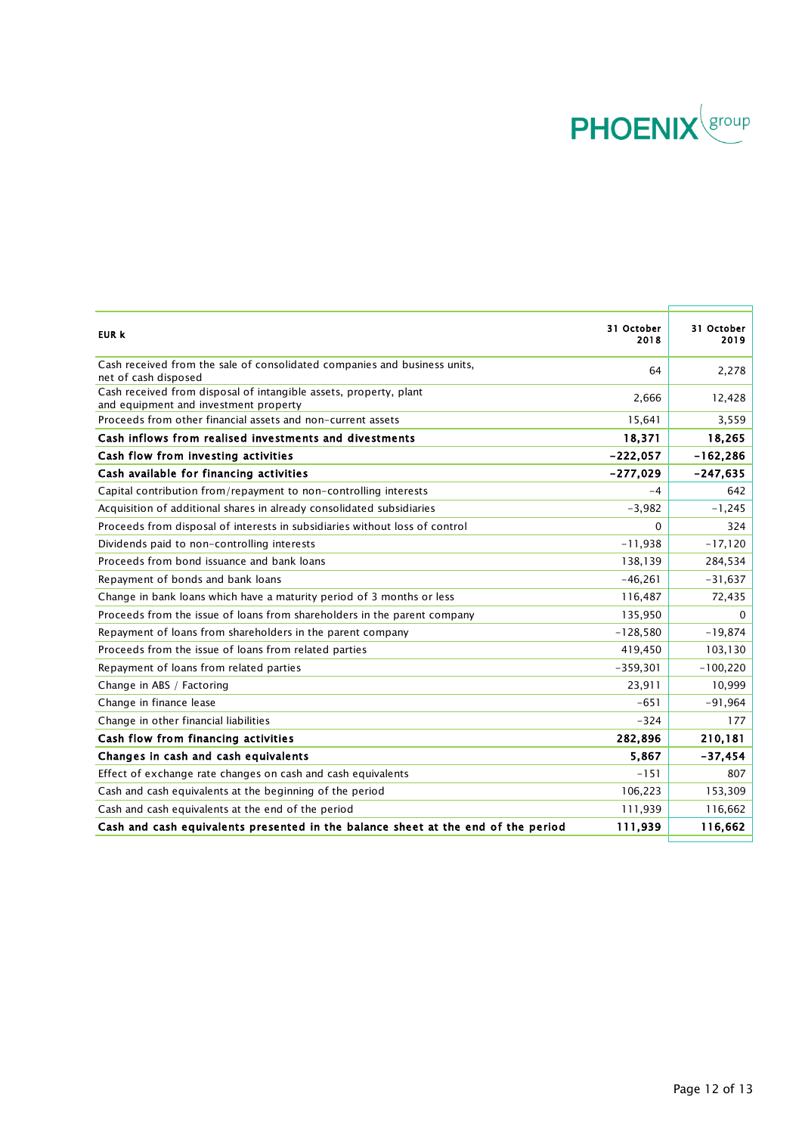

| EUR k                                                                                                      | 31 October<br>2018 | 31 October<br>2019 |
|------------------------------------------------------------------------------------------------------------|--------------------|--------------------|
| Cash received from the sale of consolidated companies and business units,<br>net of cash disposed          | 64                 | 2,278              |
| Cash received from disposal of intangible assets, property, plant<br>and equipment and investment property | 2,666              | 12,428             |
| Proceeds from other financial assets and non-current assets                                                | 15.641             | 3,559              |
| Cash inflows from realised investments and divestments                                                     | 18,371             | 18,265             |
| Cash flow from investing activities                                                                        | $-222.057$         | $-162,286$         |
| Cash available for financing activities                                                                    | $-277,029$         | $-247,635$         |
| Capital contribution from/repayment to non-controlling interests                                           | $-4$               | 642                |
| Acquisition of additional shares in already consolidated subsidiaries                                      | $-3,982$           | $-1,245$           |
| Proceeds from disposal of interests in subsidiaries without loss of control                                | $\Omega$           | 324                |
| Dividends paid to non-controlling interests                                                                | $-11,938$          | $-17,120$          |
| Proceeds from bond issuance and bank loans                                                                 | 138,139            | 284,534            |
| Repayment of bonds and bank loans                                                                          | $-46,261$          | $-31,637$          |
| Change in bank loans which have a maturity period of 3 months or less                                      | 116,487            | 72,435             |
| Proceeds from the issue of loans from shareholders in the parent company                                   | 135,950            | 0                  |
| Repayment of loans from shareholders in the parent company                                                 | $-128,580$         | $-19,874$          |
| Proceeds from the issue of loans from related parties                                                      | 419,450            | 103,130            |
| Repayment of loans from related parties                                                                    | $-359,301$         | $-100,220$         |
| Change in ABS / Factoring                                                                                  | 23,911             | 10,999             |
| Change in finance lease                                                                                    | $-651$             | $-91,964$          |
| Change in other financial liabilities                                                                      | $-324$             | 177                |
| Cash flow from financing activities                                                                        | 282,896            | 210,181            |
| Changes in cash and cash equivalents                                                                       | 5.867              | $-37,454$          |
| Effect of exchange rate changes on cash and cash equivalents                                               | $-151$             | 807                |
| Cash and cash equivalents at the beginning of the period                                                   | 106,223            | 153,309            |
| Cash and cash equivalents at the end of the period                                                         | 111,939            | 116,662            |
| Cash and cash equivalents presented in the balance sheet at the end of the period                          | 111,939            | 116,662            |
|                                                                                                            |                    |                    |